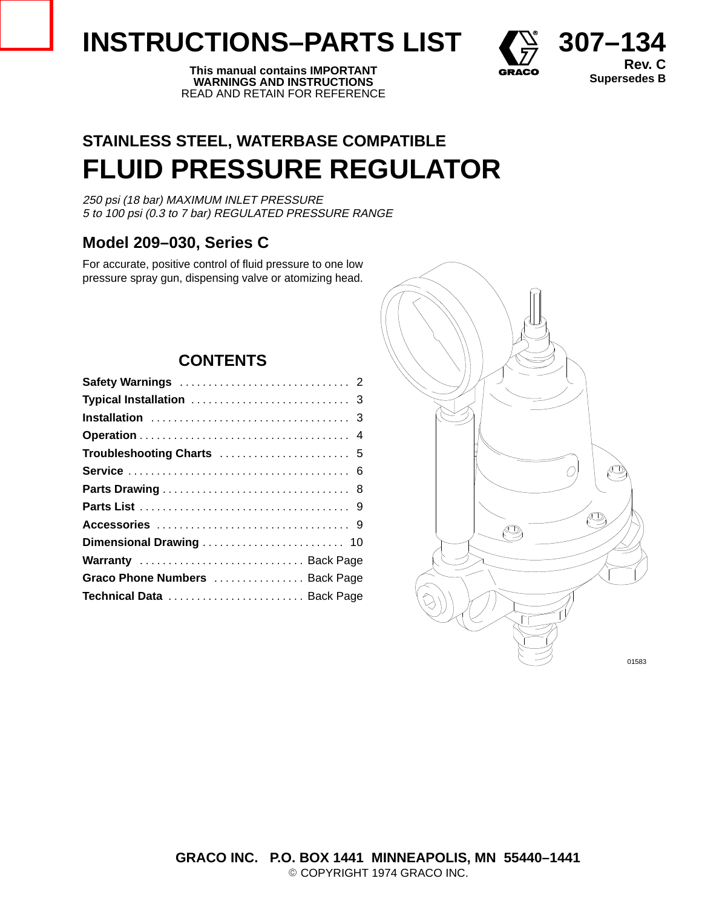# **INSTRUCTIONS–PARTS LIST**  $\left\{ \begin{matrix} \sum_{i=1}^{n} 307-134 \end{matrix} \right\}$





**Rev. C**

# **STAINLESS STEEL, WATERBASE COMPATIBLE FLUID PRESSURE REGULATOR**

250 psi (18 bar) MAXIMUM INLET PRESSURE 5 to 100 psi (0.3 to 7 bar) REGULATED PRESSURE RANGE

# **Model 209–030, Series C**

For accurate, positive control of fluid pressure to one low pressure spray gun, dispensing valve or atomizing head.

# **CONTENTS**

| Warranty  Back Page            |
|--------------------------------|
| Graco Phone Numbers  Back Page |
| Technical Data  Back Page      |
|                                |

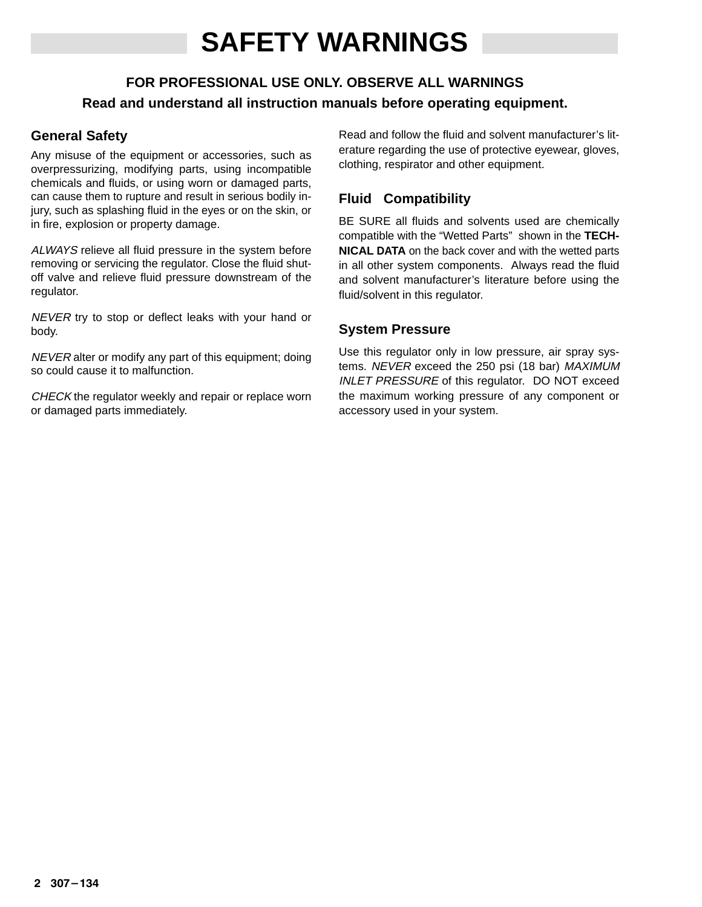# **SAFETY WARNINGS**

# **FOR PROFESSIONAL USE ONLY. OBSERVE ALL WARNINGS Read and understand all instruction manuals before operating equipment.**

## **General Safety**

Any misuse of the equipment or accessories, such as overpressurizing, modifying parts, using incompatible chemicals and fluids, or using worn or damaged parts, can cause them to rupture and result in serious bodily injury, such as splashing fluid in the eyes or on the skin, or in fire, explosion or property damage.

ALWAYS relieve all fluid pressure in the system before removing or servicing the regulator. Close the fluid shutoff valve and relieve fluid pressure downstream of the regulator.

NEVER try to stop or deflect leaks with your hand or body.

NEVER alter or modify any part of this equipment; doing so could cause it to malfunction.

CHECK the regulator weekly and repair or replace worn or damaged parts immediately.

Read and follow the fluid and solvent manufacturer's literature regarding the use of protective eyewear, gloves, clothing, respirator and other equipment.

## **Fluid Compatibility**

BE SURE all fluids and solvents used are chemically compatible with the "Wetted Parts" shown in the **TECH-NICAL DATA** on the back cover and with the wetted parts in all other system components. Always read the fluid and solvent manufacturer's literature before using the fluid/solvent in this regulator.

## **System Pressure**

Use this regulator only in low pressure, air spray systems. NEVER exceed the 250 psi (18 bar) MAXIMUM INLET PRESSURE of this regulator. DO NOT exceed the maximum working pressure of any component or accessory used in your system.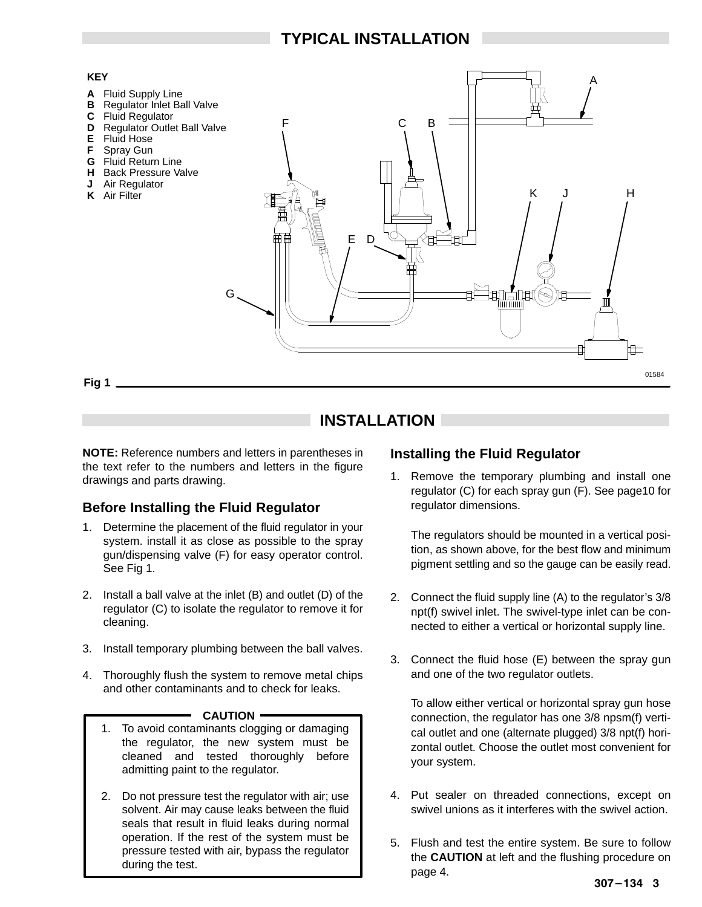

# **INSTALLATION**

**NOTE:** Reference numbers and letters in parentheses in the text refer to the numbers and letters in the figure drawings and parts drawing.

### **Before Installing the Fluid Regulator**

- 1. Determine the placement of the fluid regulator in your system. install it as close as possible to the spray gun/dispensing valve (F) for easy operator control. See Fig 1.
- 2. Install a ball valve at the inlet (B) and outlet (D) of the regulator (C) to isolate the regulator to remove it for cleaning.
- 3. Install temporary plumbing between the ball valves.
- 4. Thoroughly flush the system to remove metal chips and other contaminants and to check for leaks.

#### - **CAUTION** -

- 1. To avoid contaminants clogging or damaging the regulator, the new system must be cleaned and tested thoroughly before admitting paint to the regulator.
- 2. Do not pressure test the regulator with air; use solvent. Air may cause leaks between the fluid seals that result in fluid leaks during normal operation. If the rest of the system must be pressure tested with air, bypass the regulator during the test.

## **Installing the Fluid Regulator**

1. Remove the temporary plumbing and install one regulator (C) for each spray gun (F). See page10 for regulator dimensions.

The regulators should be mounted in a vertical position, as shown above, for the best flow and minimum pigment settling and so the gauge can be easily read.

- 2. Connect the fluid supply line (A) to the regulator's 3/8 npt(f) swivel inlet. The swivel-type inlet can be connected to either a vertical or horizontal supply line.
- 3. Connect the fluid hose (E) between the spray gun and one of the two regulator outlets.

To allow either vertical or horizontal spray gun hose connection, the regulator has one 3/8 npsm(f) vertical outlet and one (alternate plugged) 3/8 npt(f) horizontal outlet. Choose the outlet most convenient for your system.

- 4. Put sealer on threaded connections, except on swivel unions as it interferes with the swivel action.
- 5. Flush and test the entire system. Be sure to follow the **CAUTION** at left and the flushing procedure on page 4.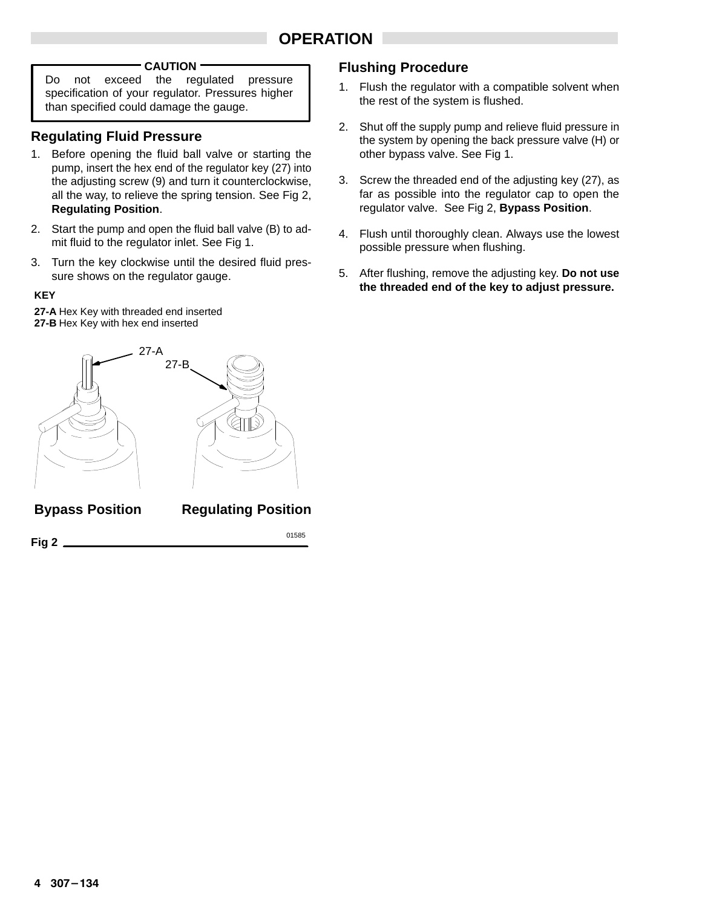# **OPERATION**

#### **CAUTION**

Do not exceed the regulated pressure specification of your regulator. Pressures higher than specified could damage the gauge.

#### **Regulating Fluid Pressure**

- 1. Before opening the fluid ball valve or starting the pump, insert the hex end of the regulator key (27) into the adjusting screw (9) and turn it counterclockwise, all the way, to relieve the spring tension. See Fig 2, **Regulating Position**.
- 2. Start the pump and open the fluid ball valve (B) to admit fluid to the regulator inlet. See Fig 1.
- 3. Turn the key clockwise until the desired fluid pressure shows on the regulator gauge.

#### **KEY**

**27-A** Hex Key with threaded end inserted **27-B** Hex Key with hex end inserted



#### **Flushing Procedure**

- 1. Flush the regulator with a compatible solvent when the rest of the system is flushed.
- 2. Shut off the supply pump and relieve fluid pressure in the system by opening the back pressure valve (H) or other bypass valve. See Fig 1.
- 3. Screw the threaded end of the adjusting key (27), as far as possible into the regulator cap to open the regulator valve. See Fig 2, **Bypass Position**.
- 4. Flush until thoroughly clean. Always use the lowest possible pressure when flushing.
- 5. After flushing, remove the adjusting key. **Do not use the threaded end of the key to adjust pressure.**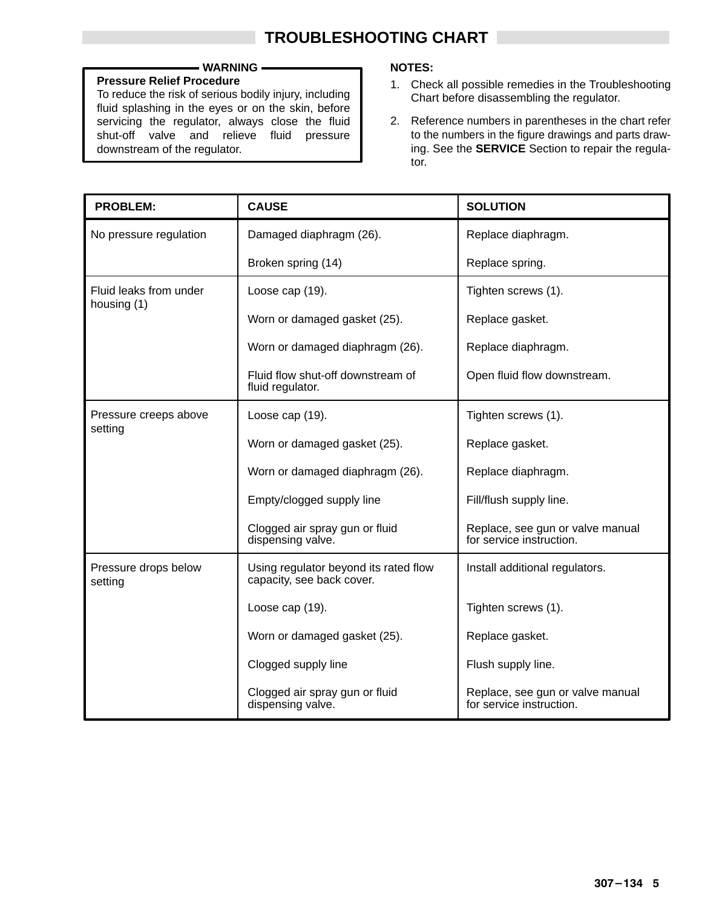#### **WARNING**

#### **Pressure Relief Procedure**

To reduce the risk of serious bodily injury, including fluid splashing in the eyes or on the skin, before servicing the regulator, always close the fluid shut-off valve and relieve fluid pressure downstream of the regulator.

#### **NOTES:**

- 1. Check all possible remedies in the Troubleshooting Chart before disassembling the regulator.
- 2. Reference numbers in parentheses in the chart refer to the numbers in the figure drawings and parts drawing. See the **SERVICE** Section to repair the regulator.

| <b>PROBLEM:</b>                       | <b>CAUSE</b>                                                       | <b>SOLUTION</b>                                              |
|---------------------------------------|--------------------------------------------------------------------|--------------------------------------------------------------|
| No pressure regulation                | Damaged diaphragm (26).                                            | Replace diaphragm.                                           |
|                                       | Broken spring (14)                                                 | Replace spring.                                              |
| Fluid leaks from under<br>housing (1) | Loose cap (19).                                                    | Tighten screws (1).                                          |
|                                       | Worn or damaged gasket (25).                                       | Replace gasket.                                              |
|                                       | Worn or damaged diaphragm (26).                                    | Replace diaphragm.                                           |
|                                       | Fluid flow shut-off downstream of<br>fluid regulator.              | Open fluid flow downstream.                                  |
| Pressure creeps above<br>setting      | Loose cap (19).                                                    | Tighten screws (1).                                          |
|                                       | Worn or damaged gasket (25).                                       | Replace gasket.                                              |
|                                       | Worn or damaged diaphragm (26).                                    | Replace diaphragm.                                           |
|                                       | Empty/clogged supply line                                          | Fill/flush supply line.                                      |
|                                       | Clogged air spray gun or fluid<br>dispensing valve.                | Replace, see gun or valve manual<br>for service instruction. |
| Pressure drops below<br>setting       | Using regulator beyond its rated flow<br>capacity, see back cover. | Install additional regulators.                               |
|                                       | Loose cap (19).                                                    | Tighten screws (1).                                          |
|                                       | Worn or damaged gasket (25).                                       | Replace gasket.                                              |
|                                       | Clogged supply line                                                | Flush supply line.                                           |
|                                       | Clogged air spray gun or fluid<br>dispensing valve.                | Replace, see gun or valve manual<br>for service instruction. |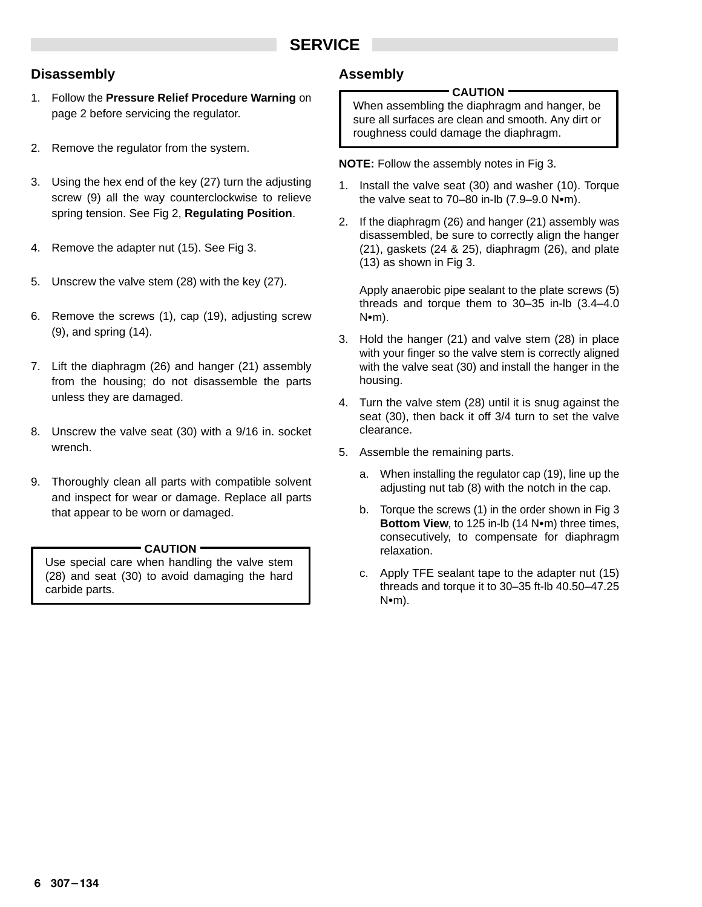# **SERVICE**

#### **Disassembly**

- 1. Follow the **Pressure Relief Procedure Warning** on page 2 before servicing the regulator.
- 2. Remove the regulator from the system.
- 3. Using the hex end of the key (27) turn the adjusting screw (9) all the way counterclockwise to relieve spring tension. See Fig 2, **Regulating Position**.
- 4. Remove the adapter nut (15). See Fig 3.
- 5. Unscrew the valve stem (28) with the key (27).
- 6. Remove the screws (1), cap (19), adjusting screw (9), and spring (14).
- 7. Lift the diaphragm (26) and hanger (21) assembly from the housing; do not disassemble the parts unless they are damaged.
- 8. Unscrew the valve seat (30) with a 9/16 in. socket wrench.
- 9. Thoroughly clean all parts with compatible solvent and inspect for wear or damage. Replace all parts that appear to be worn or damaged.

#### **CAUTION**

Use special care when handling the valve stem (28) and seat (30) to avoid damaging the hard carbide parts.

## **Assembly**

#### **CAUTION**

When assembling the diaphragm and hanger, be sure all surfaces are clean and smooth. Any dirt or roughness could damage the diaphragm.

**NOTE:** Follow the assembly notes in Fig 3.

- 1. Install the valve seat (30) and washer (10). Torque the valve seat to  $70-80$  in-lb  $(7.9-9.0 \text{ N} \cdot \text{m})$ .
- 2. If the diaphragm (26) and hanger (21) assembly was disassembled, be sure to correctly align the hanger (21), gaskets (24 & 25), diaphragm (26), and plate (13) as shown in Fig 3.

Apply anaerobic pipe sealant to the plate screws (5) threads and torque them to 30–35 in-lb (3.4–4.0  $N$  $m$ ).

- 3. Hold the hanger (21) and valve stem (28) in place with your finger so the valve stem is correctly aligned with the valve seat (30) and install the hanger in the housing.
- 4. Turn the valve stem (28) until it is snug against the seat (30), then back it off 3/4 turn to set the valve clearance.
- 5. Assemble the remaining parts.
	- a. When installing the regulator cap (19), line up the adjusting nut tab (8) with the notch in the cap.
	- b. Torque the screws (1) in the order shown in Fig 3 Bottom View, to 125 in-lb (14 Nom) three times, consecutively, to compensate for diaphragm relaxation.
	- c. Apply TFE sealant tape to the adapter nut (15) threads and torque it to 30–35 ft-lb 40.50–47.25  $N$  $\bullet$ m).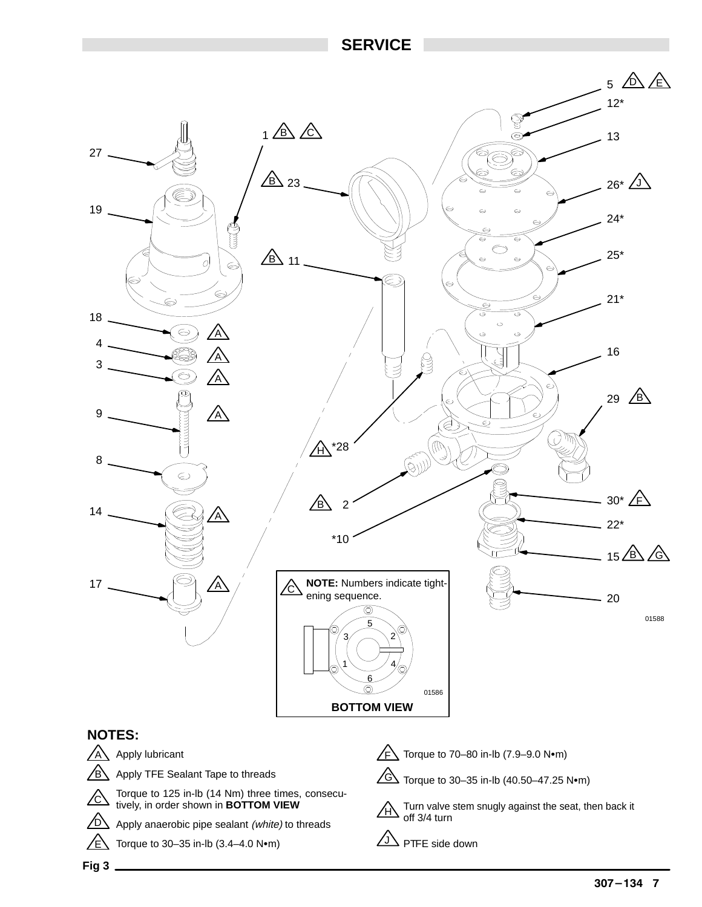## **SERVICE**



**Fig 3**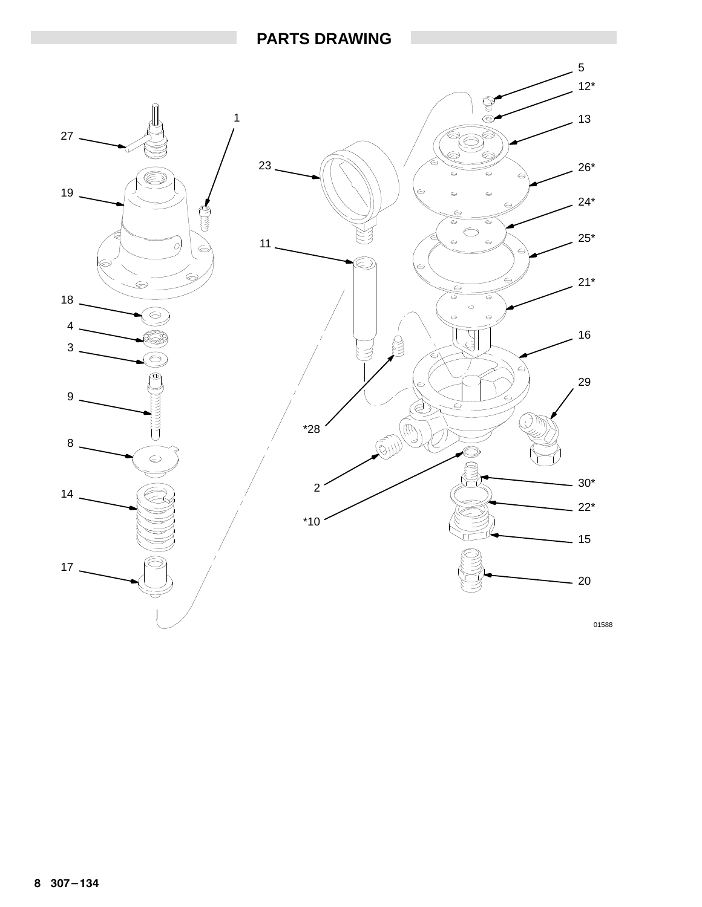## **PARTS DRAWING**

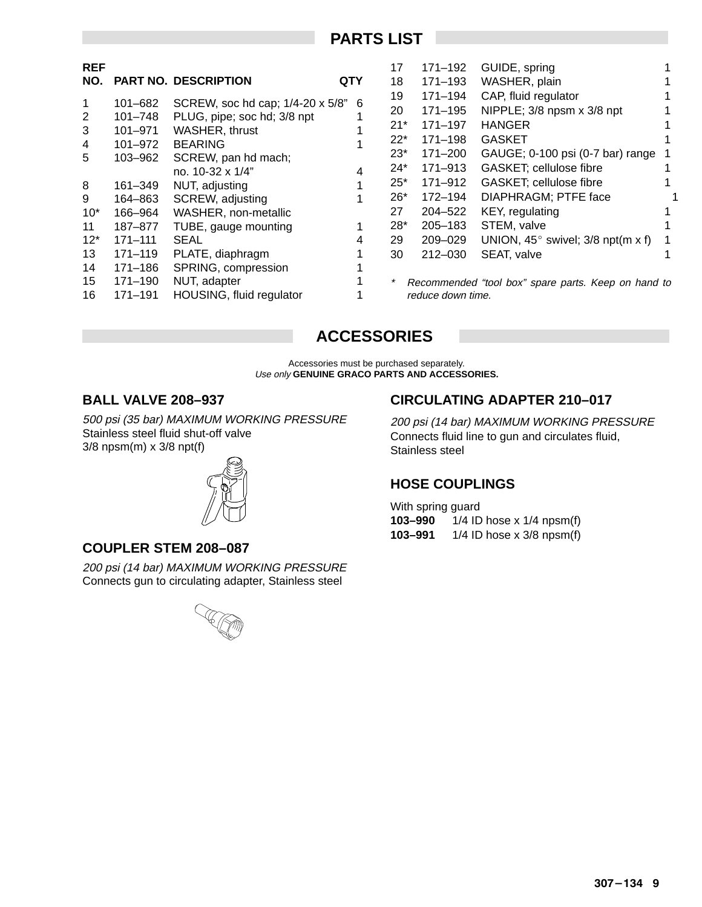## **PARTS LIST**

| <b>REF</b> |             |                                    |     | 17     | 171–192           | GUIDE, spring                                       |  |
|------------|-------------|------------------------------------|-----|--------|-------------------|-----------------------------------------------------|--|
| NO.        |             | <b>PART NO. DESCRIPTION</b>        | QTY | 18     | $171 - 193$       | WASHER, plain                                       |  |
|            | 101–682     | SCREW, soc hd cap; 1/4-20 x 5/8" 6 |     | 19     | 171–194           | CAP, fluid regulator                                |  |
| 2          | $101 - 748$ | PLUG, pipe; soc hd; 3/8 npt        |     | 20     | 171-195           | NIPPLE; 3/8 npsm x 3/8 npt                          |  |
| 3          | 101-971     | WASHER, thrust                     |     | $21*$  | 171-197           | <b>HANGER</b>                                       |  |
| 4          | 101-972     | <b>BEARING</b>                     |     | $22*$  | 171–198           | <b>GASKET</b>                                       |  |
| 5          | 103–962     | SCREW, pan hd mach;                |     | $23^*$ | 171-200           | GAUGE; 0-100 psi (0-7 bar) range                    |  |
|            |             | no. 10-32 x 1/4"                   |     | $24*$  | 171-913           | GASKET; cellulose fibre                             |  |
| 8          | 161-349     | NUT, adjusting                     |     | $25*$  | 171-912           | GASKET; cellulose fibre                             |  |
| 9          | 164-863     | SCREW, adjusting                   |     | $26*$  | 172-194           | DIAPHRAGM; PTFE face                                |  |
| $10*$      | 166-964     | WASHER, non-metallic               |     | 27     | 204-522           | KEY, regulating                                     |  |
| 11         | 187–877     | TUBE, gauge mounting               |     | 28*    | $205 - 183$       | STEM, valve                                         |  |
| $12*$      | $171 - 111$ | <b>SEAL</b>                        |     | 29     | $209 - 029$       | UNION, $45^{\circ}$ swivel; 3/8 npt(m x f)          |  |
| 13         | $171 - 119$ | PLATE, diaphragm                   |     | 30     | $212 - 030$       | SEAT, valve                                         |  |
| 14         | 171–186     | SPRING, compression                |     |        |                   |                                                     |  |
| 15         | 171-190     | NUT, adapter                       |     |        |                   | Recommended "tool box" spare parts. Keep on hand to |  |
| 16         | $171 - 191$ | HOUSING, fluid regulator           |     |        | reduce down time. |                                                     |  |

# **ACCESSORIES**

Accessories must be purchased separately. Use only **GENUINE GRACO PARTS AND ACCESSORIES.**

### **BALL VALVE 208–937**

500 psi (35 bar) MAXIMUM WORKING PRESSURE Stainless steel fluid shut-off valve 3/8 npsm(m) x 3/8 npt(f)



### **COUPLER STEM 208–087**

200 psi (14 bar) MAXIMUM WORKING PRESSURE Connects gun to circulating adapter, Stainless steel



## **CIRCULATING ADAPTER 210–017**

200 psi (14 bar) MAXIMUM WORKING PRESSURE Connects fluid line to gun and circulates fluid, Stainless steel

## **HOSE COUPLINGS**

With spring guard **103–990** 1/4 ID hose x 1/4 npsm(f) **103–991** 1/4 ID hose x 3/8 npsm(f)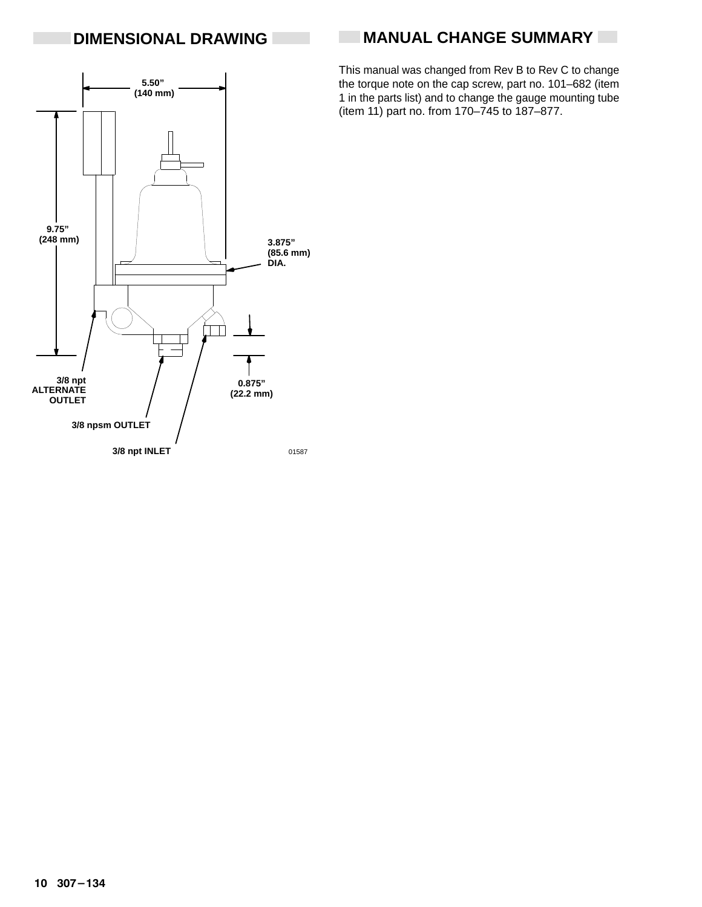# **DIMENSIONAL DRAWING**

# **MANUAL CHANGE SUMMARY**

**5.50" (140 mm) 9.75" (248 mm) 3.875" (85.6 mm) DIA.** T **3/8 npt 0.875" ALTERNATE (22.2 mm) OUTLET 3/8 npsm OUTLET 3/8 npt INLET** 01587

This manual was changed from Rev B to Rev C to change the torque note on the cap screw, part no. 101–682 (item 1 in the parts list) and to change the gauge mounting tube (item 11) part no. from 170–745 to 187–877.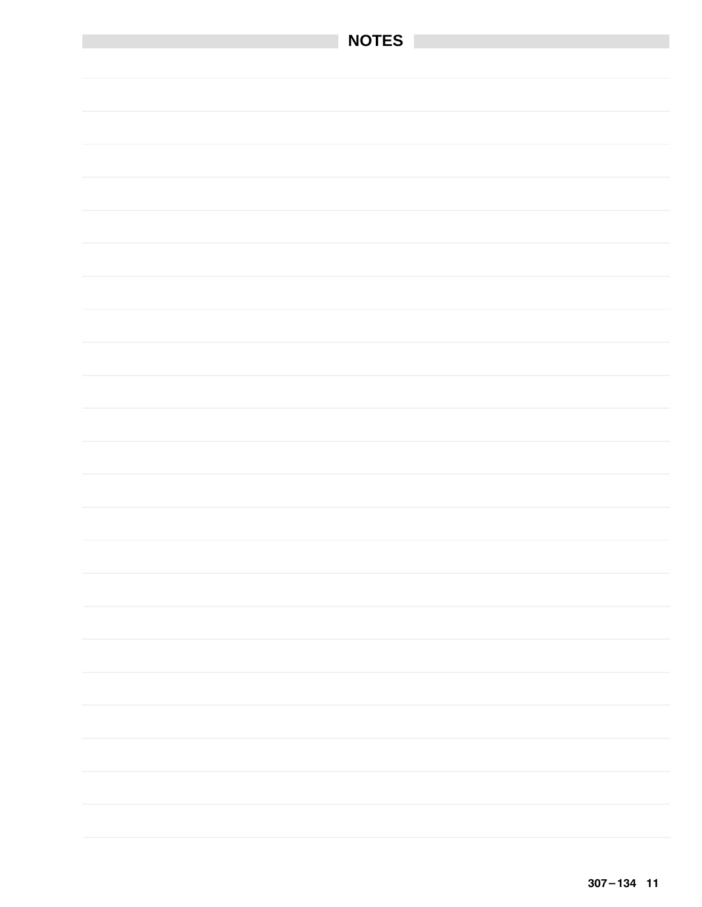| NOTES |
|-------|
|       |
|       |
|       |
|       |
|       |
|       |
|       |
|       |
|       |
|       |
|       |
|       |
|       |
|       |
|       |
|       |
|       |
|       |
|       |
|       |
|       |
|       |
|       |
|       |
|       |
|       |
|       |
|       |
|       |
|       |
|       |
|       |
|       |
|       |